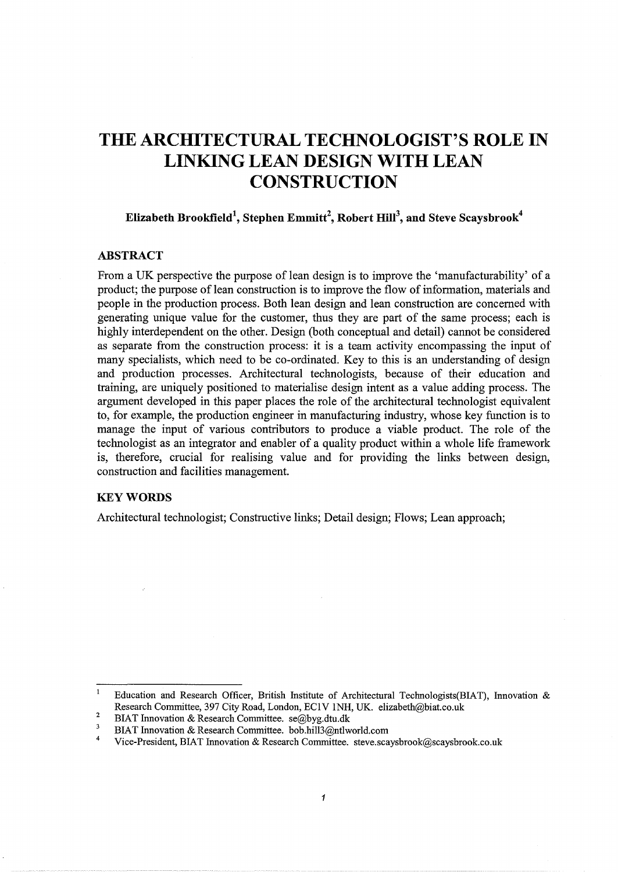# **THE ARCHITECTURAL TECHNOLOGIST'S ROLE IN LINKING LEAN DESIGN WITH LEAN CONSTRUCTION**

Elizabeth Brookfield $^1$ , Stephen Emmitt $^2$ , Robert Hill $^3$ , and Steve Scaysbrook $^4$ 

# ABSTRACT

From a UK perspective the purpose of lean design is to improve the 'manufacturability' of a product; the purpose of lean construction is to improve the flow of information, materials and people in the production process. Both lean design and lean construction are concerned with generating unique value for the customer, thus they are part of the same process; each is highly interdependent on the other. Design (both conceptual and detail) cannot be considered as separate from the construction process: it is a team activity encompassing the input of many specialists, which need to be co-ordinated. Key to this is an understanding of design and production processes. Architectural technologists, because of their education and training, are uniquely positioned to materialise design intent as a value adding process. The argument developed in this paper places the role of the architectural technologist equivalent to, for example, the production engineer in manufacturing industry, whose key function is to manage the input of various contributors to produce a viable product. The role of the technologist as an integrator and enabler of a quality product within a whole life framework is, therefore, crucial for realising value and for providing the links between design, construction and facilities management.

#### **KEY WORDS**

Architectural technologist; Constructive links; Detail design; Flows; Lean approach;

 $\mathbf 1$ Education and Research Officer, British Institute of Architectural Technologists(BIAT), Innovation & Research Committee, 397 City Road, London, ECIV lNH, UK. elizabeth@biat.co.uk

<sup>2</sup>  BIAT Innovation & Research Committee. se@byg.dtu.dk

 $\overline{\mathbf{3}}$ BIAT Innovation & Research Committee. bob.hill3@ntlworld.com

<sup>4</sup>  Vice-President, BlAT Innovation & Research Committee. steve.scaysbrook@scaysbrook.co.uk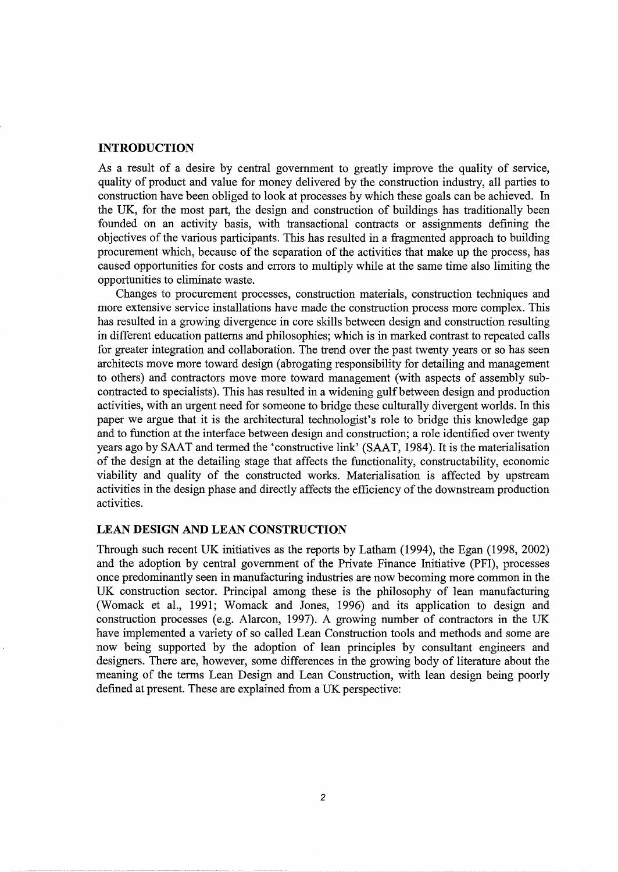#### **INTRODUCTION**

As a result of a desire by central government to greatly improve the quality of service, quality of product and value for money delivered by the construction industry, all parties to construction have been obliged to look at processes by which these goals can be achieved. In the UK, for the most part, the design and construction of buildings has traditionally been founded on an activity basis, with transactional contracts or assignments defining the objectives of the various participants. This has resulted in a fragmented approach to building procurement which, because of the separation of the activities that make up the process, has caused opportunities for costs and errors to multiply while at the same time also limiting the opportunities to eliminate waste.

Changes to procurement processes, construction materials, construction techniques and more extensive service installations have made the construction process more complex. This has resulted in a growing divergence in core skills between design and construction resulting in different education patterns and philosophies; which is in marked contrast to repeated calls for greater integration and collaboration. The trend over the past twenty years or so has seen architects move more toward design (abrogating responsibility for detailing and management to others) and contractors move more toward management (with aspects of assembly subcontracted to specialists). This has resulted in a widening gulfbetween design and production activities, with an urgent need for someone to bridge these culturally divergent worlds. In this paper we argue that it is the architectural technologist's role to bridge this knowledge gap and to function at the interface between design and construction; a role identified over twenty years ago by SAAT and termed the 'constructive link' (SAAT, 1984). It is the materialisation of the design at the detailing stage that affects the functionality, constructability, economic viability and quality of the constructed works. Materialisation is affected by upstream activities in the design phase and directly affects the efficiency of the downstream production activities.

# **LEAN DESIGN AND LEAN CONSTRUCTION**

Through such recent UK initiatives as the reports by Latham (1994), the Egan (1998, 2002) and the adoption by central government of the Private Finance Initiative (PFI), processes once predominantly seen in manufacturing industries are now becoming more common in the UK construction sector. Principal among these is the philosophy of lean manufacturing (Womack et al., 1991; Womack and Jones, 1996) and its application to design and construction processes (e.g. Alarcon, 1997). A growing number of contractors in the UK have implemented a variety of so called Lean Construction tools and methods and some are now being supported by the adoption of lean principles by consultant engineers and designers. There are, however, some differences in the growing body of literature about the meaning of the terms Lean Design and Lean Construction, with lean design being poorly defined at present. These are explained from a UK perspective: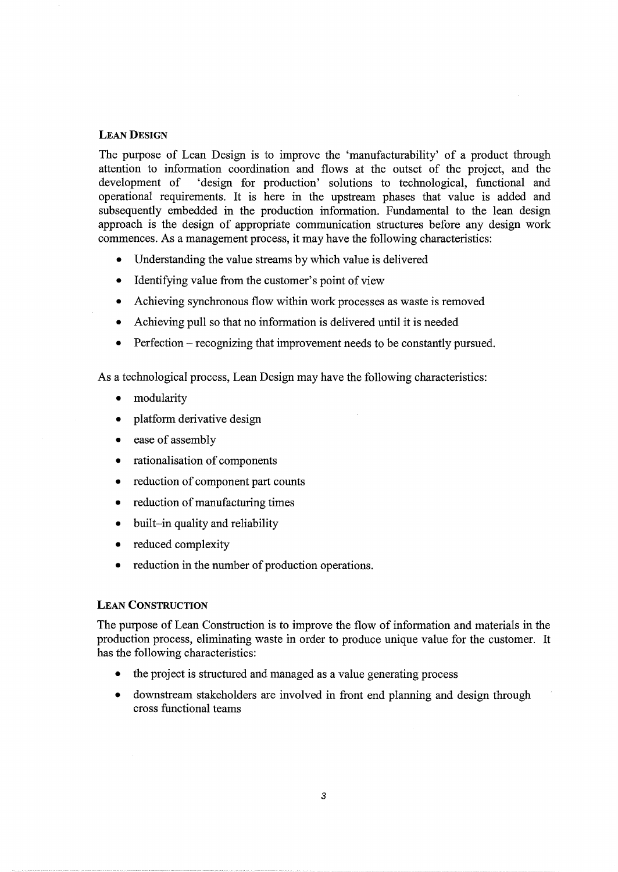#### LEAN DESIGN

The purpose of Lean Design is to improve the 'manufacturability' of a product through attention to information coordination and flows at the outset of the project, and the development of 'design for production' solutions to technological, functional and operational requirements. It is here in the upstream phases that value is added and subsequently embedded in the production information. Fundamental to the lean design approach is the design of appropriate communication structures before any design work commences. As a management process, it may have the following characteristics:

- Understanding the value streams by which value is delivered
- Identifying value from the customer's point of view
- Achieving synchronous flow within work processes as waste is removed
- Achieving pull so that no information is delivered until it is needed
- Perfection recognizing that improvement needs to be constantly pursued.

As a technological process, Lean Design may have the following characteristics:

- modularity
- platform derivative design
- ease of assembly
- rationalisation of components
- reduction of component part counts
- reduction of manufacturing times
- built-in quality and reliability
- reduced complexity
- reduction in the number of production operations.

#### LEAN CONSTRUCTION

The purpose of Lean Construction is to improve the flow of information and materials in the production process, eliminating waste in order to produce unique value for the customer. It has the following characteristics:

- the project is structured and managed as a value generating process
- downstream stakeholders are involved in front end planning and design through cross functional teams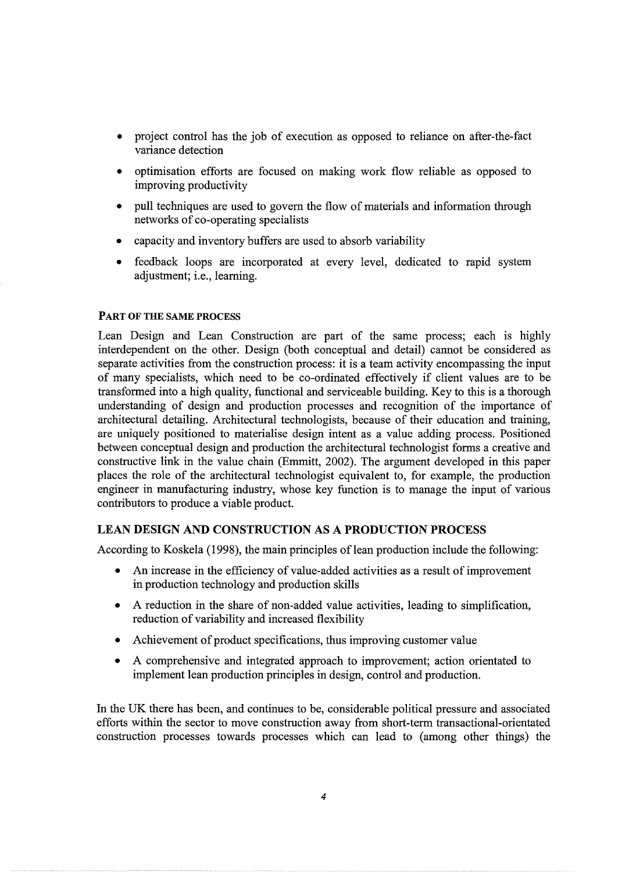- project control has the job of execution as opposed to reliance on after-the-fact variance detection
- optimisation efforts are focused on making work flow reliable as opposed to improving productivity
- pull techniques are used to govern the flow of materials and information through networks of co-operating specialists
- capacity and inventory buffers are used to absorb variability
- feedback loops are incorporated at every level, dedicated to rapid system adjustment; i.e., learning.

#### PART OF THE SAME PROCESS

Lean Design and Lean Construction are part of the same process; each is highly interdependent on the other. Design (both conceptual and detail) cannot be considered as separate activities from the construction process: it is a team activity encompassing the input of many specialists, which need to be co-ordinated effectively if client values are to be transformed into a high quality, functional and serviceable building. Key to this is a thorough understanding of design and production processes and recognition of the importance of architectural detailing. Architectural technologists, because of their education and training, are uniquely positioned to materialise design intent as a value adding process. Positioned between conceptual design and production the architectural technologist forms a creative and constructive link in the value chain (Emmitt, 2002). The argument developed in this paper places the role of the architectural technologist equivalent to, for example, the production engineer in manufacturing industry, whose key function is to manage the input of various contributors to produce a viable product.

#### LEAN DESIGN AND CONSTRUCTION AS A PRODUCTION PROCESS

According to Koskela (1998), the main principles of lean production include the following:

- An increase in the efficiency of value-added activities as a result of improvement in production technology and production skills
- A reduction in the share of non-added value activities, leading to simplification, reduction of variability and increased flexibility
- Achievement of product specifications, thus improving customer value
- A comprehensive and integrated approach to improvement; action orientated to implement lean production principles in design, control and production.

In the UK there has been, and continues to be, considerable political pressure and associated efforts within the sector to move construction away from short-term transactional-orientated construction processes towards processes which can lead to (among other things) the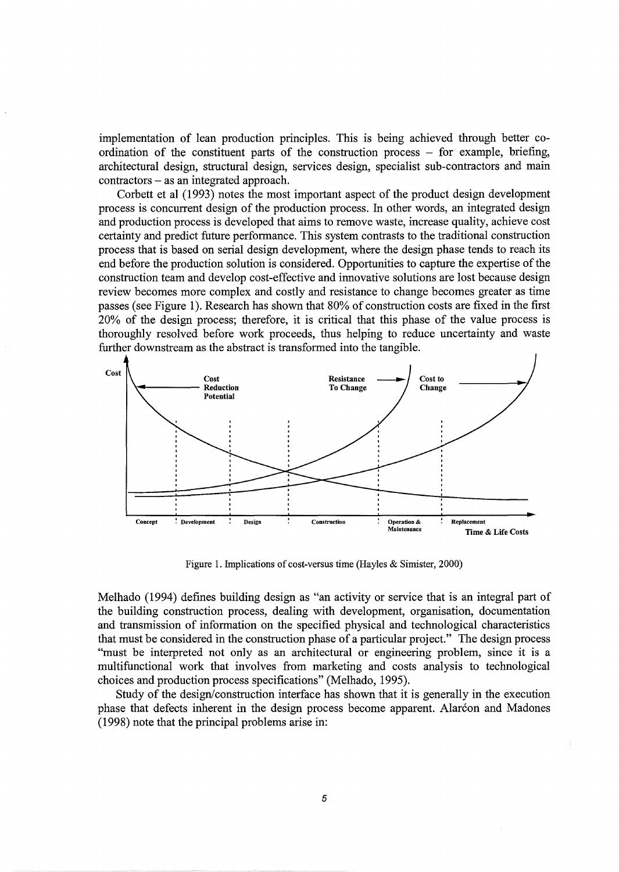implementation of lean production principles. This is being achieved through better coordination of the constituent parts of the construction process  $-$  for example, briefing, architectural design, structural design, services design, specialist sub-contractors and main contractors - as an integrated approach.

Corbett et al (1993) notes the most important aspect of the product design development process is concurrent design of the production process. In other words, an integrated design and production process is developed that aims to remove waste, increase quality, achieve cost certainty and predict future performance. This system contrasts to the traditional construction process that is based on serial design development, where the design phase tends to reach its end before the production solution is considered. Opportunities to capture the expertise of the construction team and develop cost-effective and innovative solutions are lost because design review becomes more complex and costly and resistance to change becomes greater as time passes (see Figure 1). Research has shown that 80% of construction costs are fixed in the first 20% of the design process; therefore, it is critical that this phase of the value process is thoroughly resolved before work proceeds, thus helping to reduce uncertainty and waste further downstream as the abstract is transformed into the tangible.



Figure 1. Implications of cost-versus time (Hayles & Simister, 2000)

Melhado (1994) defines building design as "an activity or service that is an integral part of the building construction process, dealing with development, organisation, documentation and transmission of information on the specified physical and technological characteristics that must be considered in the construction phase of a particular project." The design process "must be interpreted not only as an architectural or engineering problem, since it is a multifunctional work that involves from marketing and costs analysis to technological choices and production process specifications" (Melhado, 1995).

Study of the design/construction interface has shown that it is generally in the execution phase that defects inherent in the design process become apparent. Alarcon and Madones (1998) note that the principal problems arise in: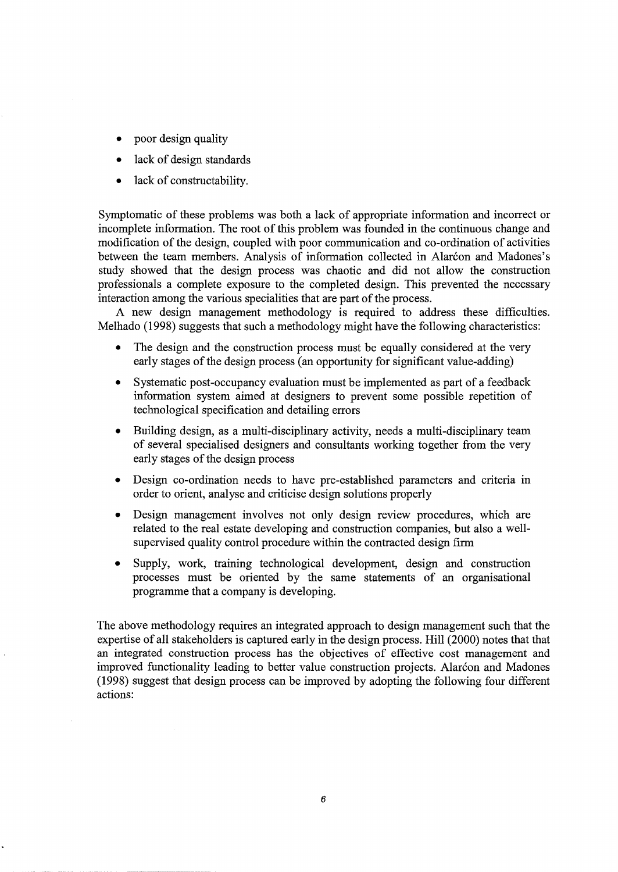- poor design quality
- lack of design standards
- lack of constructability.

Symptomatic of these problems was both a lack of appropriate information and incorrect or incomplete information. The root of this problem was founded in the continuous change and modification of the design, coupled with poor communication and co-ordination of activities between the team members. Analysis of information collected in Alarcon and Madones's study showed that the design process was chaotic and did not allow the construction professionals a complete exposure to the completed design. This prevented the necessary interaction among the various specialities that are part of the process.

A new design management methodology is required to address these difficulties. Melhado (1998) suggests that such a methodology might have the following characteristics:

- The design and the construction process must be equally considered at the very early stages of the design process (an opportunity for significant value-adding)
- Systematic post-occupancy evaluation must be implemented as part of a feedback information system aimed at designers to prevent some possible repetition of technological specification and detailing errors
- Building design, as a multi-disciplinary activity, needs a multi-disciplinary team of several specialised designers and consultants working together from the very early stages of the design process
- Design co-ordination needs to have pre-established parameters and criteria in order to orient, analyse and criticise design solutions properly
- Design management involves not only design review procedures, which are related to the real estate developing and construction companies, but also a wellsupervised quality control procedure within the contracted design firm
- Supply, work, training technological development, design and construction processes must be oriented by the same statements of an organisational programme that a company is developing.

The above methodology requires an integrated approach to design management such that the expertise of all stakeholders is captured early in the design process. Hill (2000) notes that that an integrated construction process has the objectives of effective cost management and improved functionality leading to better value construction projects. Alarcon and Madones (1998) suggest that design process can be improved by adopting the following four different actions: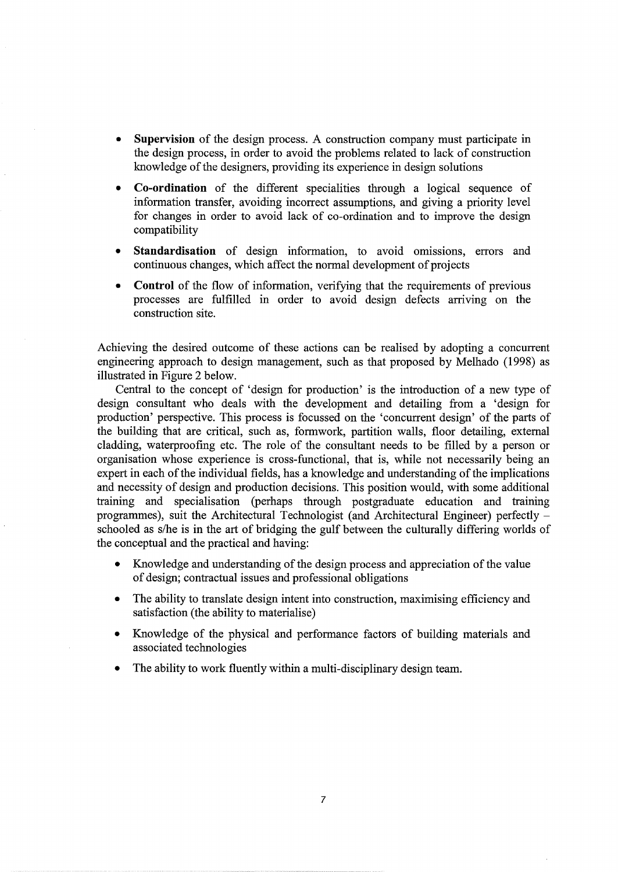- **Supervision** of the design process. A construction company must participate in the design process, in order to avoid the problems related to lack of construction knowledge of the designers, providing its experience in design solutions
- **Co-ordination** of the different specialities through a logical sequence of information transfer, avoiding incorrect assumptions, and giving a priority level for changes in order to avoid lack of co-ordination and to improve the design compatibility
- **Standardisation** of design information, to avoid omissions, errors and continuous changes, which affect the normal development of projects
- **Control** of the flow of information, verifying that the requirements of previous processes are fulfilled in order to avoid design defects arriving on the construction site.

Achieving the desired outcome of these actions can be realised by adopting a concurrent engineering approach to design management, such as that proposed by Melhado (1998) as illustrated in Figure 2 below.

Central to the concept of 'design for production' is the introduction of a new type of design consultant who deals with the development and detailing from a 'design for production' perspective. This process is focussed on the 'concurrent design' of the parts of the building that are critical, such as, formwork, partition walls, floor detailing, external cladding, waterproofing etc. The role of the consultant needs to be filled by a person or organisation whose experience is cross-functional, that is, while not necessarily being an expert in each of the individual fields, has a knowledge and understanding of the implications and necessity of design and production decisions. This position would, with some additional training and specialisation (perhaps through postgraduate education and training programmes), suit the Architectural Technologist (and Architectural Engineer) perfectly schooled as s/he is in the art of bridging the gulf between the culturally differing worlds of the conceptual and the practical and having:

- Knowledge and understanding of the design process and appreciation of the value of design; contractual issues and professional obligations
- The ability to translate design intent into construction, maximising efficiency and satisfaction (the ability to materialise)
- Knowledge of the physical and performance factors of building materials and associated technologies
- The ability to work fluently within a multi-disciplinary design team.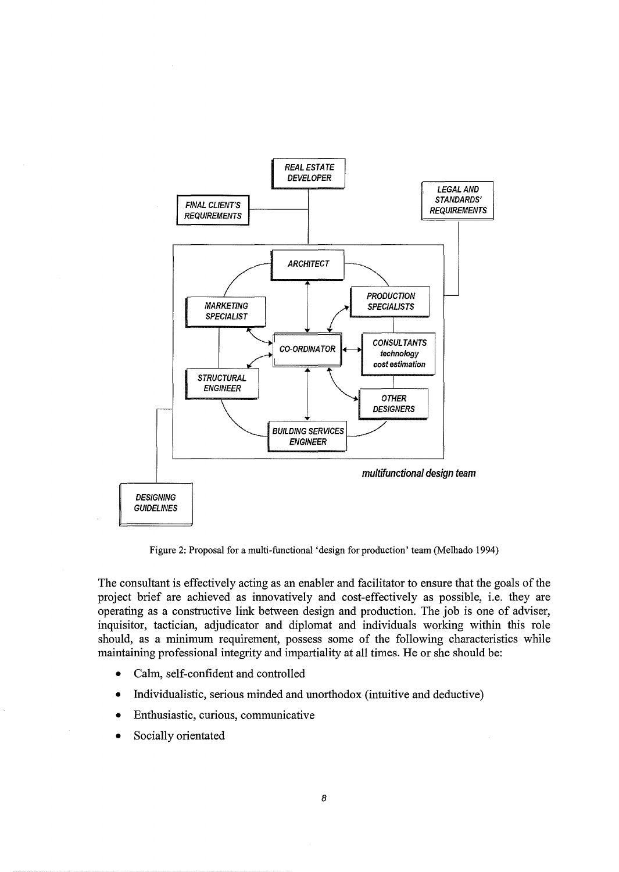

Figure 2: Proposal for a multi-functional 'design for production' team (Melhado 1994)

The consultant is effectively acting as an enabler and facilitator to ensure that the goals of the project brief are achieved as innovatively and cost-effectively as possible, i.e. they are operating as a constructive link between design and production. The job is one of adviser, inquisitor, tactician, adjudicator and diplomat and individuals working within this role should, as a minimum requirement, possess some of the following characteristics while maintaining professional integrity and impartiality at all times. He or she should be:

- Calm, self-confident and controlled
- Individualistic, serious minded and unorthodox (intuitive and deductive)
- Enthusiastic, curious, communicative
- Socially orientated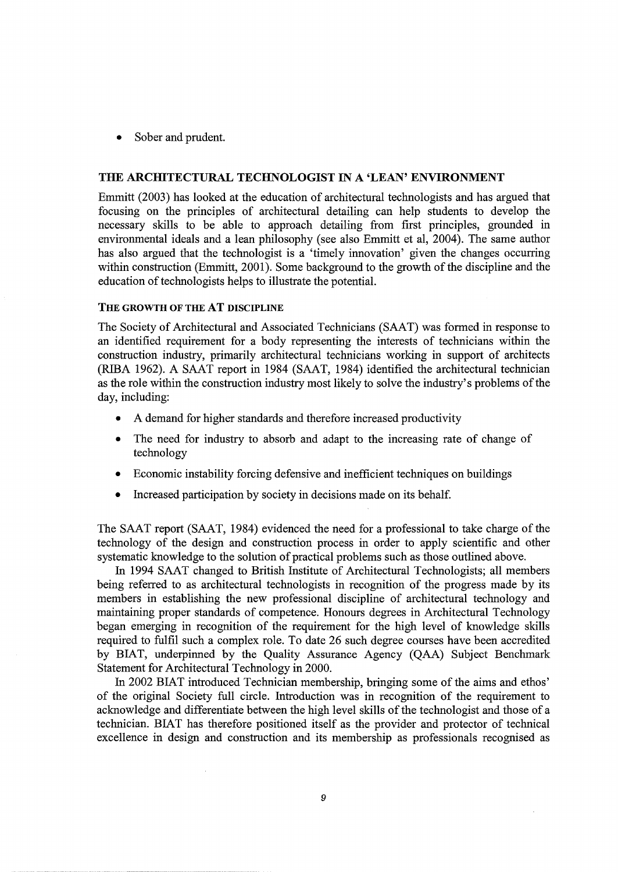Sober and prudent.

#### THE ARCHITECTURAL TECHNOLOGIST IN A 'LEAN' ENVIRONMENT

Emmitt (2003) has looked at the education of architectural technologists and has argued that focusing on the principles of architectural detailing can help students to develop the necessary skills to be able to approach detailing from first principles, grounded in environmental ideals and a lean philosophy (see also Emmitt et al, 2004). The same author has also argued that the technologist is a 'timely innovation' given the changes occurring within construction (Emmitt, 2001). Some background to the growth of the discipline and the education of technologists helps to illustrate the potential.

# THE GROWTH OF THE AT DISCIPLINE

The Society of Architectural and Associated Technicians (SAAT) was formed in response to an identified requirement for a body representing the interests of technicians within the construction industry, primarily architectural technicians working in support of architects (RIBA 1962). A SAAT report in 1984 (SAAT, 1984) identified the architectural technician as the role within the construction industry most likely to solve the industry's problems of the day, including:

- A demand for higher standards and therefore increased productivity
- The need for industry to absorb and adapt to the increasing rate of change of technology
- Economic instability forcing defensive and inefficient techniques on buildings
- Increased participation by society in decisions made on its behalf.

The SAAT report (SAAT, 1984) evidenced the need for a professional to take charge of the technology of the design and construction process in order to apply scientific and other systematic knowledge to the solution of practical problems such as those outlined above.

In 1994 SAAT changed to British Institute of Architectural Technologists; all members being referred to as architectural technologists in recognition of the progress made by its members in establishing the new professional discipline of architectural technology and maintaining proper standards of competence. Honours degrees in Architectural Technology began emerging in recognition of the requirement for the high level of knowledge skills required to fulfil such a complex role. To date 26 such degree courses have been accredited by BlAT, underpinned by the Quality Assurance Agency (QAA) Subject Benchmark Statement for Architectural Technology in 2000.

In 2002 BlAT introduced Technician membership, bringing some of the aims and ethos' of the original Society full circle. Introduction was in recognition of the requirement to acknowledge and differentiate between the high level skills of the technologist and those of a technician. BIAT has therefore positioned itself as the provider and protector of technical excellence in design and construction and its membership as professionals recognised as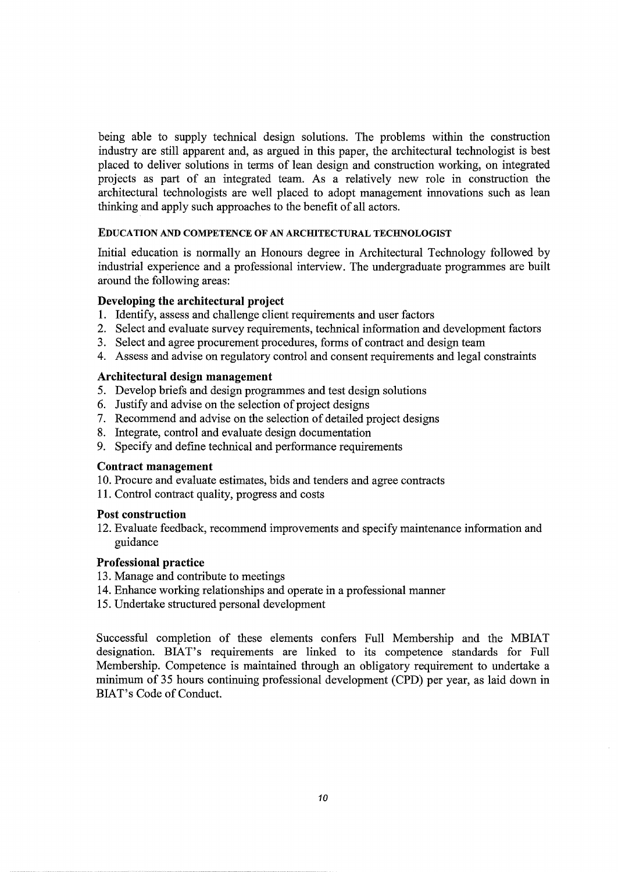being able to supply technical design solutions. The problems within the construction industry are still apparent and, as argued in this paper, the architectural technologist is best placed to deliver solutions in terms of lean design and construction working, on integrated projects as part of an integrated team. As a relatively new role in construction the architectural technologists are well placed to adopt management innovations such as lean thinking and apply such approaches to the benefit of all actors.

#### EDUCATION AND COMPETENCE OF AN ARCHITECTURAL TECHNOLOGIST

Initial education is normally an Honours degree in Architectural Technology followed by industrial experience and a professional interview. The undergraduate programmes are built around the following areas:

# **Developing the architectural project**

- **1.** Identify, assess and challenge client requirements and user factors
- 2. Select and evaluate survey requirements, technical information and development factors
- 3. Select and agree procurement procedures, forms of contract and design team
- 4. Assess and advise on regulatory control and consent requirements and legal constraints

## **Architectural design management**

- 5. Develop briefs and design programmes and test design solutions
- 6. Justify and advise on the selection of project designs
- 7. Recommend and advise on the selection of detailed project designs
- 8. Integrate, control and evaluate design documentation
- 9. Specify and define technical and performance requirements

#### **Contract management**

- 10. Procure and evaluate estimates, bids and tenders and agree contracts
- 11. Control contract quality, progress and costs

#### **Post construction**

12. Evaluate feedback, recommend improvements and specify maintenance information and guidance

#### **Professional practice**

- 13. Manage and contribute to meetings
- 14. Enhance working relationships and operate in a professional manner
- 15. Undertake structured personal development

Successful completion of these elements confers Full Membership and the MBIAT designation. BlAT's requirements are linked to its competence standards for Full Membership. Competence is maintained through an obligatory requirement to undertake a minimum of 35 hours continuing professional development (CPD) per year, as laid down in BlAT's Code of Conduct.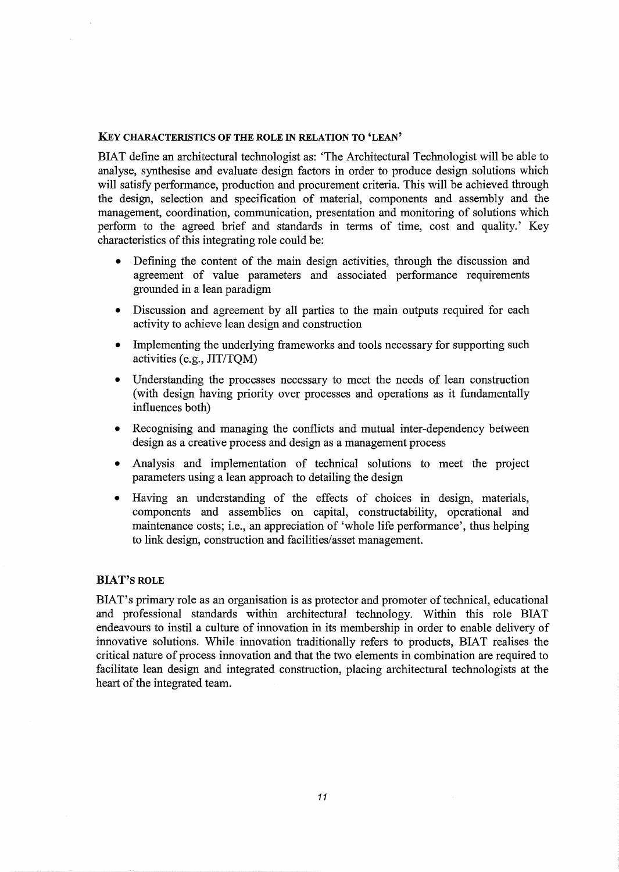#### KEY CHARACTERISTICS OF THE ROLE IN RELATION TO 'LEAN'

BlAT define an architectural technologist as: 'The Architectural Technologist will be able to analyse, synthesise and evaluate design factors in order to produce design solutions which will satisfy performance, production and procurement criteria. This will be achieved through the design, selection and specification of material, components and assembly and the management, coordination, communication, presentation and monitoring of solutions which perform to the agreed brief and standards in terms of time, cost and quality.' Key characteristics of this integrating role could be:

- Defining the content of the main design activities, through the discussion and agreement of value parameters and associated performance requirements grounded in a lean paradigm
- Discussion and agreement by all parties to the main outputs required for each activity to achieve lean design and construction
- Implementing the underlying frameworks and tools necessary for supporting such activities (e.g., JIT/TQM)
- Understanding the processes necessary to meet the needs of lean construction (with design having priority over processes and operations as it fundamentally influences both)
- Recognising and managing the conflicts and mutual inter-dependency between design as a creative process and design as a management process
- Analysis and implementation of technical solutions to meet the project parameters using a lean approach to detailing the design
- Having an understanding of the effects of choices in design, materials, components and assemblies on capital, constructability, operational and maintenance costs; i.e., an appreciation of 'whole life performance', thus helping to link design, construction and facilities/asset management.

#### BlAT'S ROLE

BlAT's primary role as an organisation is as protector and promoter of technical, educational and professional standards within architectural technology. Within this role BIAT endeavours to instil a culture of innovation in its membership in order to enable delivery of innovative solutions. While innovation traditionally refers to products, BIAT realises the critical nature of process innovation and that the two elements in combination are required to facilitate lean design and integrated construction, placing architectural technologists at the heart of the integrated team.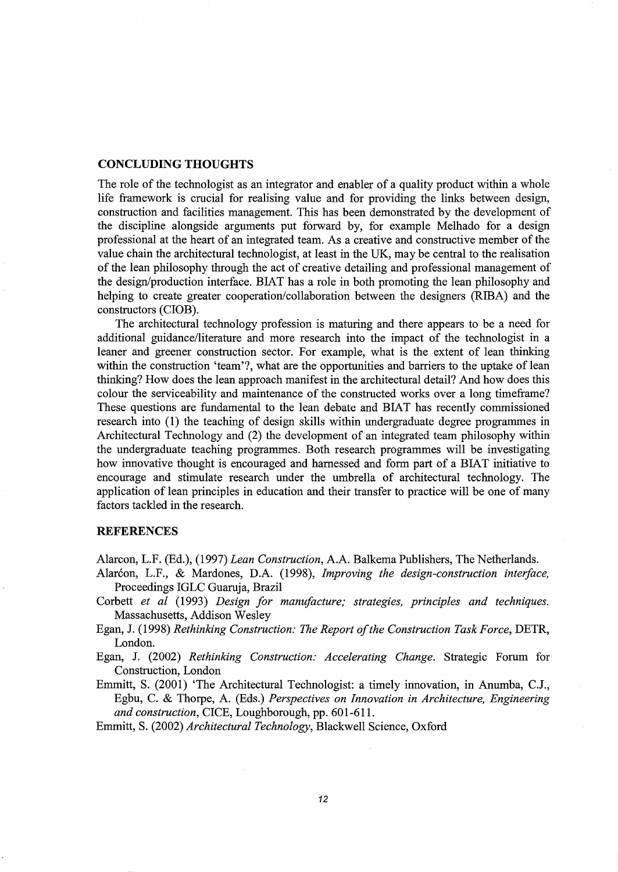# **CONCLUDING THOUGHTS**

The role of the technologist as an integrator and enabler of a quality product within a whole life framework is crucial for realising value and for providing the links between design, construction and facilities management. This has been demonstrated by the development of the discipline alongside arguments put forward by, for example Melhado for a design professional at the heart of an integrated team. As a creative and constructive member of the value chain the architectural technologist, at least in the UK, may be central to the realisation of the lean philosophy through the act of creative detailing and professional management of the design/production interface. BIAT has a role in both promoting the lean philosophy and helping to create greater cooperation/collaboration between the designers (RIBA) and the constructors (CIOB).

The architectural technology profession is maturing and there appears to be a need for additional guidance/literature and more research into the impact of the technologist in a leaner and greener construction sector. For example, what is the extent of lean thinking within the construction 'team'?, what are the opportunities and barriers to the uptake of lean thinking? How does the lean approach manifest in the architectural detail? And how does this colour the serviceability and maintenance of the constructed works over a long timeframe? These questions are fundamental to the lean debate and BIAT has recently commissioned research into **(1)** the teaching of design skills within undergraduate degree programmes in Architectural Technology and (2) the development of an integrated team philosophy within the undergraduate teaching programmes. Both research programmes will be investigating how innovative thought is encouraged and harnessed and form part of a BlAT initiative to encourage and stimulate research under the umbrella of architectural technology. The application of lean principles in education and their transfer to practice will be one of many factors tackled in the research.

#### **REFERENCES**

Alarcon, L.F. (Ed.), (1997) *Lean Construction,* A.A. Balkema Publishers, The Netherlands.

- Alarcon, L.F., & Mardones, D.A. (1998), *Improving the design-construction interface*, Proceedings IGLC Guaruja, Brazil
- Corbett *et al* (1993) *Design for manufacture; strategies, principles and techniques.*  Massachusetts, Addison Wesley
- Egan, J. (1998) *Rethinking Construction: The Report of the Construction Task Force,* DETR, London.

Egan, J. (2002) *Rethinking Construction: Accelerating Change.* Strategic Forum for Construction, London

Emmitt, S. (2001) 'The Architectural Technologist: a timely innovation, in Anumba, C.J., Egbu, C. & Thorpe, A. (Eds.) *Perspectives on Innovation in Architecture, Engineering and construction,* CICE, Loughborough, pp. 601-611.

Emmitt, S. (2002) *Architectural Technology,* Blackwell Science, Oxford